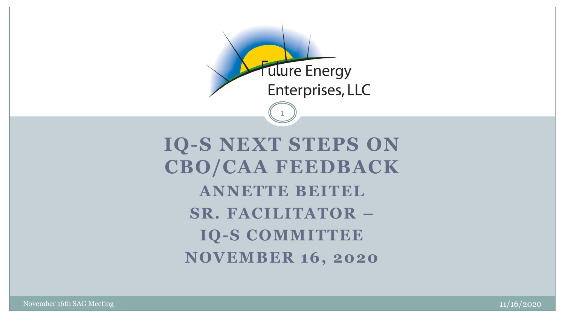

**IQ-S NEXT STEPS ON CBO/CAA FEEDBACK ANNETTE BEITEL SR. FACILITATOR – IQ-S COMMITTEE NOVEMBER 16, 2020**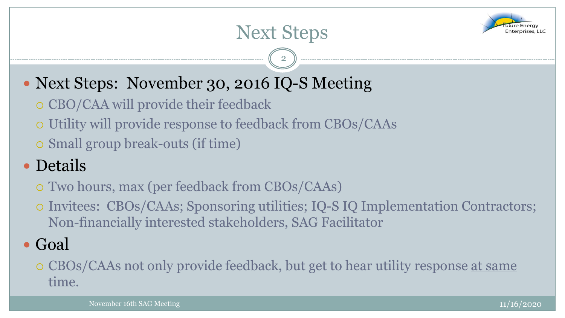

## Next Steps

2

- Next Steps: November 30, 2016 IQ-S Meeting
	- o CBO/CAA will provide their feedback
	- Utility will provide response to feedback from CBOs/CAAs
	- Small group break-outs (if time)

## • Details

- Two hours, max (per feedback from CBOs/CAAs)
- Invitees: CBOs/CAAs; Sponsoring utilities; IQ-S IQ Implementation Contractors; Non-financially interested stakeholders, SAG Facilitator

## • Goal

### CBOs/CAAs not only provide feedback, but get to hear utility response at same time.